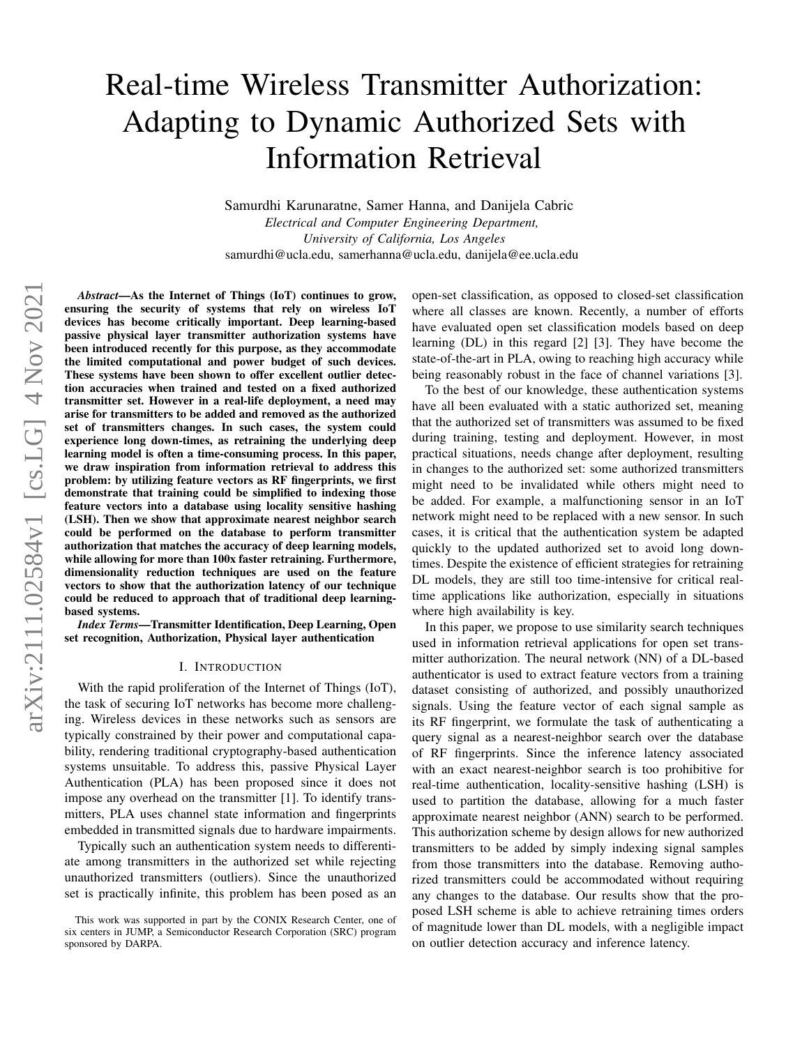# Real-time Wireless Transmitter Authorization: Adapting to Dynamic Authorized Sets with Information Retrieval

Samurdhi Karunaratne, Samer Hanna, and Danijela Cabric *Electrical and Computer Engineering Department, University of California, Los Angeles* samurdhi@ucla.edu, samerhanna@ucla.edu, danijela@ee.ucla.edu

*Abstract*—As the Internet of Things (IoT) continues to grow, ensuring the security of systems that rely on wireless IoT devices has become critically important. Deep learning-based passive physical layer transmitter authorization systems have been introduced recently for this purpose, as they accommodate the limited computational and power budget of such devices. These systems have been shown to offer excellent outlier detection accuracies when trained and tested on a fixed authorized transmitter set. However in a real-life deployment, a need may arise for transmitters to be added and removed as the authorized set of transmitters changes. In such cases, the system could experience long down-times, as retraining the underlying deep learning model is often a time-consuming process. In this paper, we draw inspiration from information retrieval to address this problem: by utilizing feature vectors as RF fingerprints, we first demonstrate that training could be simplified to indexing those feature vectors into a database using locality sensitive hashing (LSH). Then we show that approximate nearest neighbor search could be performed on the database to perform transmitter authorization that matches the accuracy of deep learning models, while allowing for more than 100x faster retraining. Furthermore, dimensionality reduction techniques are used on the feature vectors to show that the authorization latency of our technique could be reduced to approach that of traditional deep learningbased systems.

*Index Terms*—Transmitter Identification, Deep Learning, Open set recognition, Authorization, Physical layer authentication

#### I. INTRODUCTION

With the rapid proliferation of the Internet of Things (IoT), the task of securing IoT networks has become more challenging. Wireless devices in these networks such as sensors are typically constrained by their power and computational capability, rendering traditional cryptography-based authentication systems unsuitable. To address this, passive Physical Layer Authentication (PLA) has been proposed since it does not impose any overhead on the transmitter [1]. To identify transmitters, PLA uses channel state information and fingerprints embedded in transmitted signals due to hardware impairments.

Typically such an authentication system needs to differentiate among transmitters in the authorized set while rejecting unauthorized transmitters (outliers). Since the unauthorized set is practically infinite, this problem has been posed as an open-set classification, as opposed to closed-set classification where all classes are known. Recently, a number of efforts have evaluated open set classification models based on deep learning (DL) in this regard [2] [3]. They have become the state-of-the-art in PLA, owing to reaching high accuracy while being reasonably robust in the face of channel variations [3].

To the best of our knowledge, these authentication systems have all been evaluated with a static authorized set, meaning that the authorized set of transmitters was assumed to be fixed during training, testing and deployment. However, in most practical situations, needs change after deployment, resulting in changes to the authorized set: some authorized transmitters might need to be invalidated while others might need to be added. For example, a malfunctioning sensor in an IoT network might need to be replaced with a new sensor. In such cases, it is critical that the authentication system be adapted quickly to the updated authorized set to avoid long downtimes. Despite the existence of efficient strategies for retraining DL models, they are still too time-intensive for critical realtime applications like authorization, especially in situations where high availability is key.

In this paper, we propose to use similarity search techniques used in information retrieval applications for open set transmitter authorization. The neural network (NN) of a DL-based authenticator is used to extract feature vectors from a training dataset consisting of authorized, and possibly unauthorized signals. Using the feature vector of each signal sample as its RF fingerprint, we formulate the task of authenticating a query signal as a nearest-neighbor search over the database of RF fingerprints. Since the inference latency associated with an exact nearest-neighbor search is too prohibitive for real-time authentication, locality-sensitive hashing (LSH) is used to partition the database, allowing for a much faster approximate nearest neighbor (ANN) search to be performed. This authorization scheme by design allows for new authorized transmitters to be added by simply indexing signal samples from those transmitters into the database. Removing authorized transmitters could be accommodated without requiring any changes to the database. Our results show that the proposed LSH scheme is able to achieve retraining times orders of magnitude lower than DL models, with a negligible impact on outlier detection accuracy and inference latency.

This work was supported in part by the CONIX Research Center, one of six centers in JUMP, a Semiconductor Research Corporation (SRC) program sponsored by DARPA.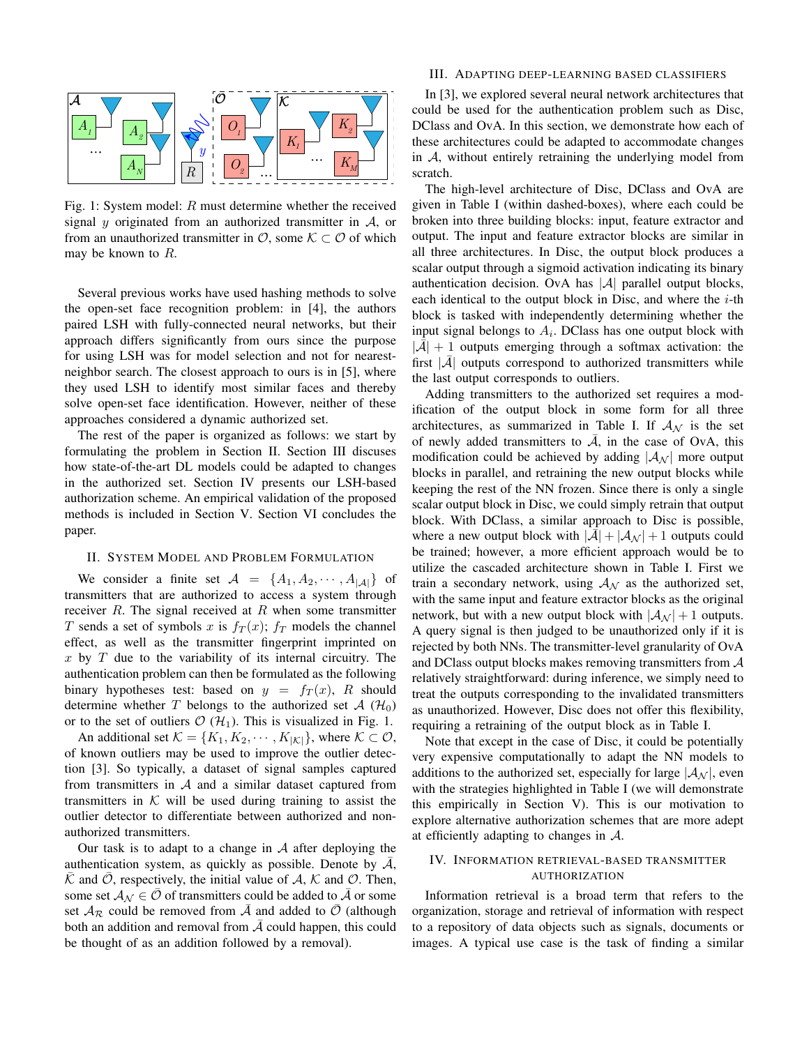

Fig. 1: System model: R must determine whether the received signal y originated from an authorized transmitter in  $A$ , or from an unauthorized transmitter in  $\mathcal{O}$ , some  $\mathcal{K} \subset \mathcal{O}$  of which may be known to  $R$ .

Several previous works have used hashing methods to solve the open-set face recognition problem: in [4], the authors paired LSH with fully-connected neural networks, but their approach differs significantly from ours since the purpose for using LSH was for model selection and not for nearestneighbor search. The closest approach to ours is in [5], where they used LSH to identify most similar faces and thereby solve open-set face identification. However, neither of these approaches considered a dynamic authorized set.

The rest of the paper is organized as follows: we start by formulating the problem in Section II. Section III discuses how state-of-the-art DL models could be adapted to changes in the authorized set. Section IV presents our LSH-based authorization scheme. An empirical validation of the proposed methods is included in Section V. Section VI concludes the paper.

## II. SYSTEM MODEL AND PROBLEM FORMULATION

We consider a finite set  $\mathcal{A} = \{A_1, A_2, \cdots, A_{|\mathcal{A}|}\}\$  of transmitters that are authorized to access a system through receiver  $R$ . The signal received at  $R$  when some transmitter T sends a set of symbols x is  $f_T(x)$ ;  $f_T$  models the channel effect, as well as the transmitter fingerprint imprinted on x by  $T$  due to the variability of its internal circuitry. The authentication problem can then be formulated as the following binary hypotheses test: based on  $y = f_T(x)$ , R should determine whether T belongs to the authorized set  $\mathcal{A}$  ( $\mathcal{H}_0$ ) or to the set of outliers  $\mathcal{O}(\mathcal{H}_1)$ . This is visualized in Fig. 1.

An additional set  $\mathcal{K} = \{K_1, K_2, \cdots, K_{|\mathcal{K}|}\}\$ , where  $\mathcal{K} \subset \mathcal{O}$ , of known outliers may be used to improve the outlier detection [3]. So typically, a dataset of signal samples captured from transmitters in  $A$  and a similar dataset captured from transmitters in  $K$  will be used during training to assist the outlier detector to differentiate between authorized and nonauthorized transmitters.

Our task is to adapt to a change in  $A$  after deploying the authentication system, as quickly as possible. Denote by  $A$ ,  $\overline{\mathcal{K}}$  and  $\overline{\mathcal{O}}$ , respectively, the initial value of A, K and  $\mathcal{O}$ . Then, some set  $A_N \in \mathcal{O}$  of transmitters could be added to A or some set  $A_{\mathcal{R}}$  could be removed from  $\overline{A}$  and added to  $\overline{O}$  (although both an addition and removal from  $A$  could happen, this could be thought of as an addition followed by a removal).

### III. ADAPTING DEEP-LEARNING BASED CLASSIFIERS

In [3], we explored several neural network architectures that could be used for the authentication problem such as Disc, DClass and OvA. In this section, we demonstrate how each of these architectures could be adapted to accommodate changes in A, without entirely retraining the underlying model from scratch.

The high-level architecture of Disc, DClass and OvA are given in Table I (within dashed-boxes), where each could be broken into three building blocks: input, feature extractor and output. The input and feature extractor blocks are similar in all three architectures. In Disc, the output block produces a scalar output through a sigmoid activation indicating its binary authentication decision. OvA has  $|\mathcal{A}|$  parallel output blocks, each identical to the output block in Disc, and where the  $i$ -th block is tasked with independently determining whether the input signal belongs to  $A_i$ . DClass has one output block with  $|\bar{\mathcal{A}}| + 1$  outputs emerging through a softmax activation: the first  $|\bar{A}|$  outputs correspond to authorized transmitters while the last output corresponds to outliers.

Adding transmitters to the authorized set requires a modification of the output block in some form for all three architectures, as summarized in Table I. If  $A_N$  is the set of newly added transmitters to  $\overline{A}$ , in the case of OvA, this modification could be achieved by adding  $|\mathcal{A}_{\mathcal{N}}|$  more output blocks in parallel, and retraining the new output blocks while keeping the rest of the NN frozen. Since there is only a single scalar output block in Disc, we could simply retrain that output block. With DClass, a similar approach to Disc is possible, where a new output block with  $|\mathcal{A}| + |\mathcal{A}_{\mathcal{N}}| + 1$  outputs could be trained; however, a more efficient approach would be to utilize the cascaded architecture shown in Table I. First we train a secondary network, using  $A_N$  as the authorized set, with the same input and feature extractor blocks as the original network, but with a new output block with  $|\mathcal{A}_{\mathcal{N}}|+1$  outputs. A query signal is then judged to be unauthorized only if it is rejected by both NNs. The transmitter-level granularity of OvA and DClass output blocks makes removing transmitters from A relatively straightforward: during inference, we simply need to treat the outputs corresponding to the invalidated transmitters as unauthorized. However, Disc does not offer this flexibility, requiring a retraining of the output block as in Table I.

Note that except in the case of Disc, it could be potentially very expensive computationally to adapt the NN models to additions to the authorized set, especially for large  $|\mathcal{A}_{N}|$ , even with the strategies highlighted in Table I (we will demonstrate this empirically in Section V). This is our motivation to explore alternative authorization schemes that are more adept at efficiently adapting to changes in  $A$ .

# IV. INFORMATION RETRIEVAL-BASED TRANSMITTER AUTHORIZATION

Information retrieval is a broad term that refers to the organization, storage and retrieval of information with respect to a repository of data objects such as signals, documents or images. A typical use case is the task of finding a similar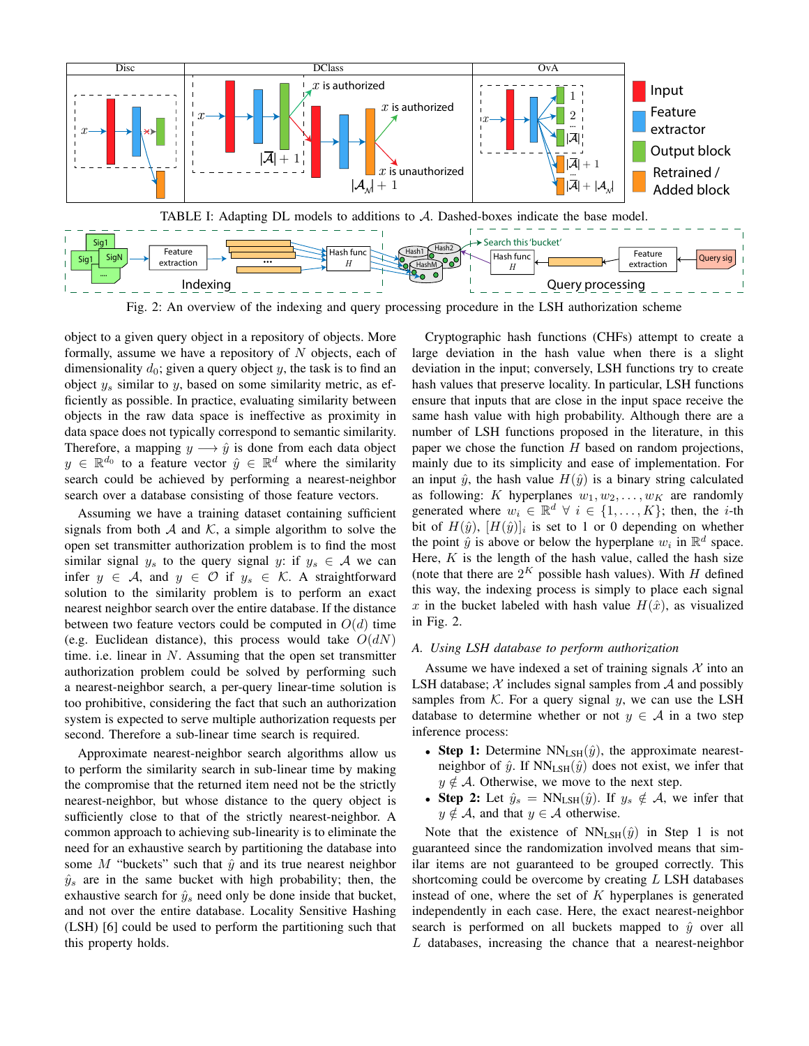

Fig. 2: An overview of the indexing and query processing procedure in the LSH authorization scheme

object to a given query object in a repository of objects. More formally, assume we have a repository of  $N$  objects, each of dimensionality  $d_0$ ; given a query object y, the task is to find an object  $y_s$  similar to  $y$ , based on some similarity metric, as efficiently as possible. In practice, evaluating similarity between objects in the raw data space is ineffective as proximity in data space does not typically correspond to semantic similarity. Therefore, a mapping  $y \rightarrow \hat{y}$  is done from each data object  $y \in \mathbb{R}^{d_0}$  to a feature vector  $\hat{y} \in \mathbb{R}^d$  where the similarity search could be achieved by performing a nearest-neighbor search over a database consisting of those feature vectors.

Assuming we have a training dataset containing sufficient signals from both  $A$  and  $K$ , a simple algorithm to solve the open set transmitter authorization problem is to find the most similar signal  $y_s$  to the query signal y: if  $y_s \in A$  we can infer  $y \in A$ , and  $y \in \mathcal{O}$  if  $y_s \in \mathcal{K}$ . A straightforward solution to the similarity problem is to perform an exact nearest neighbor search over the entire database. If the distance between two feature vectors could be computed in  $O(d)$  time (e.g. Euclidean distance), this process would take  $O(dN)$ time. i.e. linear in  $N$ . Assuming that the open set transmitter authorization problem could be solved by performing such a nearest-neighbor search, a per-query linear-time solution is too prohibitive, considering the fact that such an authorization system is expected to serve multiple authorization requests per second. Therefore a sub-linear time search is required.

Approximate nearest-neighbor search algorithms allow us to perform the similarity search in sub-linear time by making the compromise that the returned item need not be the strictly nearest-neighbor, but whose distance to the query object is sufficiently close to that of the strictly nearest-neighbor. A common approach to achieving sub-linearity is to eliminate the need for an exhaustive search by partitioning the database into some M "buckets" such that  $\hat{y}$  and its true nearest neighbor  $\hat{y}_s$  are in the same bucket with high probability; then, the exhaustive search for  $\hat{y}_s$  need only be done inside that bucket, and not over the entire database. Locality Sensitive Hashing (LSH) [6] could be used to perform the partitioning such that this property holds.

Cryptographic hash functions (CHFs) attempt to create a large deviation in the hash value when there is a slight deviation in the input; conversely, LSH functions try to create hash values that preserve locality. In particular, LSH functions ensure that inputs that are close in the input space receive the same hash value with high probability. Although there are a number of LSH functions proposed in the literature, in this paper we chose the function  $H$  based on random projections, mainly due to its simplicity and ease of implementation. For an input  $\hat{y}$ , the hash value  $H(\hat{y})$  is a binary string calculated as following: K hyperplanes  $w_1, w_2, \ldots, w_K$  are randomly generated where  $w_i \in \mathbb{R}^d \ \forall \ i \in \{1, ..., K\}$ ; then, the *i*-th bit of  $H(\hat{y})$ ,  $[H(\hat{y})]_i$  is set to 1 or 0 depending on whether the point  $\hat{y}$  is above or below the hyperplane  $w_i$  in  $\mathbb{R}^d$  space. Here,  $K$  is the length of the hash value, called the hash size (note that there are  $2^K$  possible hash values). With H defined this way, the indexing process is simply to place each signal x in the bucket labeled with hash value  $H(\hat{x})$ , as visualized in Fig. 2.

#### *A. Using LSH database to perform authorization*

Assume we have indexed a set of training signals  $\mathcal X$  into an LSH database;  $X$  includes signal samples from  $A$  and possibly samples from K. For a query signal y, we can use the LSH database to determine whether or not  $y \in A$  in a two step inference process:

- Step 1: Determine  $NN_{LSH}(\hat{y})$ , the approximate nearestneighbor of  $\hat{y}$ . If NN<sub>LSH</sub> $(\hat{y})$  does not exist, we infer that  $y \notin A$ . Otherwise, we move to the next step.
- Step 2: Let  $\hat{y}_s = NN_{LSH}(\hat{y})$ . If  $y_s \notin A$ , we infer that  $y \notin A$ , and that  $y \in A$  otherwise.

Note that the existence of  $NN_{LSH}(\hat{y})$  in Step 1 is not guaranteed since the randomization involved means that similar items are not guaranteed to be grouped correctly. This shortcoming could be overcome by creating  $L$  LSH databases instead of one, where the set of  $K$  hyperplanes is generated independently in each case. Here, the exact nearest-neighbor search is performed on all buckets mapped to  $\hat{y}$  over all  $L$  databases, increasing the chance that a nearest-neighbor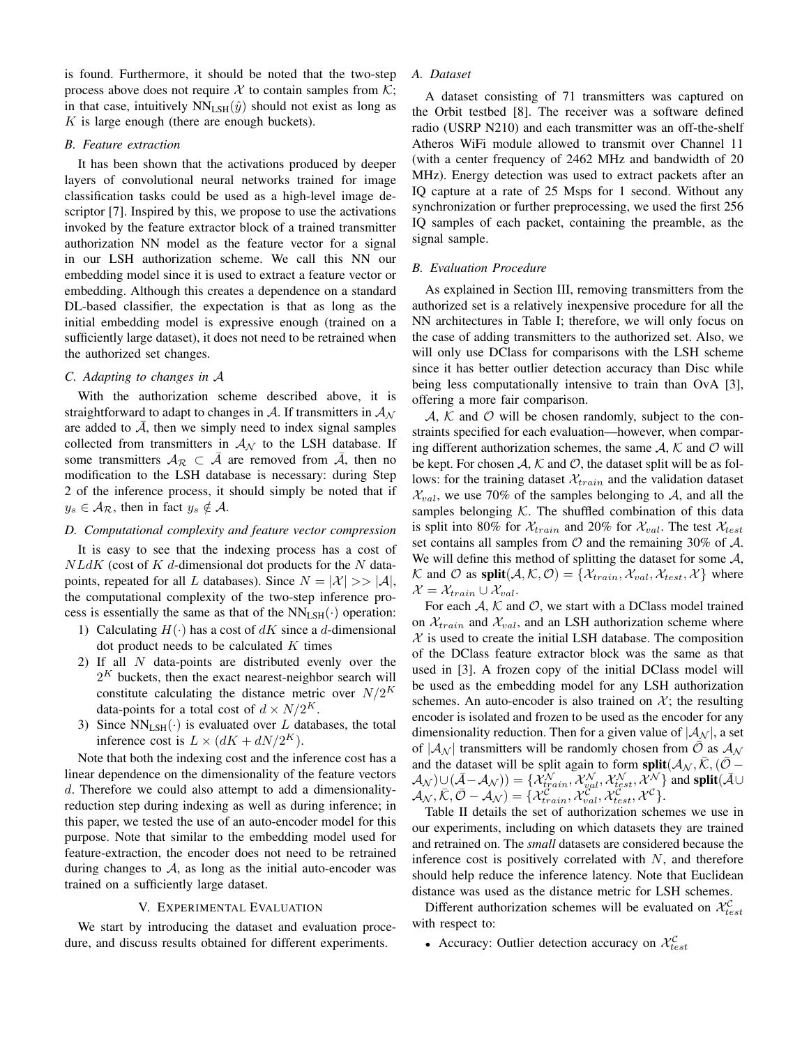is found. Furthermore, it should be noted that the two-step process above does not require X to contain samples from  $K$ ; in that case, intuitively  $NN_{LSH}(\hat{y})$  should not exist as long as  $K$  is large enough (there are enough buckets).

### *B. Feature extraction*

It has been shown that the activations produced by deeper layers of convolutional neural networks trained for image classification tasks could be used as a high-level image descriptor [7]. Inspired by this, we propose to use the activations invoked by the feature extractor block of a trained transmitter authorization NN model as the feature vector for a signal in our LSH authorization scheme. We call this NN our embedding model since it is used to extract a feature vector or embedding. Although this creates a dependence on a standard DL-based classifier, the expectation is that as long as the initial embedding model is expressive enough (trained on a sufficiently large dataset), it does not need to be retrained when the authorized set changes.

# *C. Adapting to changes in* A

With the authorization scheme described above, it is straightforward to adapt to changes in  $A$ . If transmitters in  $A_N$ are added to  $A$ , then we simply need to index signal samples collected from transmitters in  $A_N$  to the LSH database. If some transmitters  $A_{\mathcal{R}} \subset A$  are removed from A, then no modification to the LSH database is necessary: during Step 2 of the inference process, it should simply be noted that if  $y_s \in A_{\mathcal{R}}$ , then in fact  $y_s \notin \mathcal{A}$ .

## *D. Computational complexity and feature vector compression*

It is easy to see that the indexing process has a cost of  $NLdK$  (cost of  $K$  d-dimensional dot products for the  $N$  datapoints, repeated for all L databases). Since  $N = |\mathcal{X}| >> |\mathcal{A}|$ , the computational complexity of the two-step inference process is essentially the same as that of the  $NN_{LSH}(\cdot)$  operation:

- 1) Calculating  $H(\cdot)$  has a cost of dK since a d-dimensional dot product needs to be calculated  $K$  times
- 2) If all  $N$  data-points are distributed evenly over the  $2<sup>K</sup>$  buckets, then the exact nearest-neighbor search will constitute calculating the distance metric over  $N/2^{K}$ data-points for a total cost of  $d \times N/2^{K}$ .
- 3) Since  $NN_{LSH}(\cdot)$  is evaluated over L databases, the total inference cost is  $L \times (dK + dN/2^K)$ .

Note that both the indexing cost and the inference cost has a linear dependence on the dimensionality of the feature vectors d. Therefore we could also attempt to add a dimensionalityreduction step during indexing as well as during inference; in this paper, we tested the use of an auto-encoder model for this purpose. Note that similar to the embedding model used for feature-extraction, the encoder does not need to be retrained during changes to  $A$ , as long as the initial auto-encoder was trained on a sufficiently large dataset.

## V. EXPERIMENTAL EVALUATION

We start by introducing the dataset and evaluation procedure, and discuss results obtained for different experiments.

## *A. Dataset*

A dataset consisting of 71 transmitters was captured on the Orbit testbed [8]. The receiver was a software defined radio (USRP N210) and each transmitter was an off-the-shelf Atheros WiFi module allowed to transmit over Channel 11 (with a center frequency of 2462 MHz and bandwidth of 20 MHz). Energy detection was used to extract packets after an IQ capture at a rate of 25 Msps for 1 second. Without any synchronization or further preprocessing, we used the first 256 IQ samples of each packet, containing the preamble, as the signal sample.

## *B. Evaluation Procedure*

As explained in Section III, removing transmitters from the authorized set is a relatively inexpensive procedure for all the NN architectures in Table I; therefore, we will only focus on the case of adding transmitters to the authorized set. Also, we will only use DClass for comparisons with the LSH scheme since it has better outlier detection accuracy than Disc while being less computationally intensive to train than OvA [3], offering a more fair comparison.

A, K and O will be chosen randomly, subject to the constraints specified for each evaluation—however, when comparing different authorization schemes, the same  $A$ ,  $K$  and  $O$  will be kept. For chosen  $A$ ,  $K$  and  $O$ , the dataset split will be as follows: for the training dataset  $\mathcal{X}_{train}$  and the validation dataset  $\mathcal{X}_{val}$ , we use 70% of the samples belonging to  $\mathcal{A}$ , and all the samples belonging  $K$ . The shuffled combination of this data is split into 80% for  $\mathcal{X}_{train}$  and 20% for  $\mathcal{X}_{val}$ . The test  $\mathcal{X}_{test}$ set contains all samples from  $\mathcal O$  and the remaining 30% of  $\mathcal A$ . We will define this method of splitting the dataset for some  $A$ , K and O as  $split(A, K, \mathcal{O}) = \{ \mathcal{X}_{train}, \mathcal{X}_{val}, \mathcal{X}_{test}, \mathcal{X} \}$  where  $\mathcal{X} = \mathcal{X}_{train} \cup \mathcal{X}_{val}.$ 

For each  $A$ ,  $K$  and  $O$ , we start with a DClass model trained on  $\mathcal{X}_{train}$  and  $\mathcal{X}_{val}$ , and an LSH authorization scheme where  $X$  is used to create the initial LSH database. The composition of the DClass feature extractor block was the same as that used in [3]. A frozen copy of the initial DClass model will be used as the embedding model for any LSH authorization schemes. An auto-encoder is also trained on  $\mathcal{X}$ ; the resulting encoder is isolated and frozen to be used as the encoder for any dimensionality reduction. Then for a given value of  $|\mathcal{A}_{\mathcal{N}}|$ , a set of  $|\mathcal{A}_{\mathcal{N}}|$  transmitters will be randomly chosen from  $\overline{\mathcal{O}}$  as  $\mathcal{A}_{\mathcal{N}}$ and the dataset will be split again to form split $(\mathcal{A}_{\mathcal{N}}, \bar{\mathcal{K}}, (\bar{\mathcal{O}} - \bar{\mathcal{O}}))$  $(\mathcal{A}_{\mathcal{N}}) \cup (\bar{\mathcal{A}} - \mathcal{A}_{\mathcal{N}})) = \{ \mathcal{X}_{train}^{\mathcal{N}}, \mathcal{X}_{val}^{\mathcal{N}}, \mathcal{X}_{test}^{\mathcal{N}}, \bar{\mathcal{X}}^{\mathcal{N}} \}$  and split  $(\bar{\mathcal{A}} \cup$  $(\mathcal{A}_{\mathcal{N}}, \bar{\mathcal{K}}, \bar{\mathcal{O}} - \mathcal{A}_{\mathcal{N}}) = \{\mathcal{X}_{train}^{\bar{\mathcal{C}}}^{\text{even}}, \mathcal{X}_{val}^{\bar{\mathcal{C}}}, \mathcal{X}_{test}^{\bar{\mathcal{C}}}, \mathcal{X}^{\mathcal{C}}\}.$ 

Table II details the set of authorization schemes we use in our experiments, including on which datasets they are trained and retrained on. The *small* datasets are considered because the inference cost is positively correlated with  $N$ , and therefore should help reduce the inference latency. Note that Euclidean distance was used as the distance metric for LSH schemes.

Different authorization schemes will be evaluated on  $\mathcal{X}_{test}^{\mathcal{C}}$ with respect to:

• Accuracy: Outlier detection accuracy on  $\mathcal{X}_{test}^{\mathcal{C}}$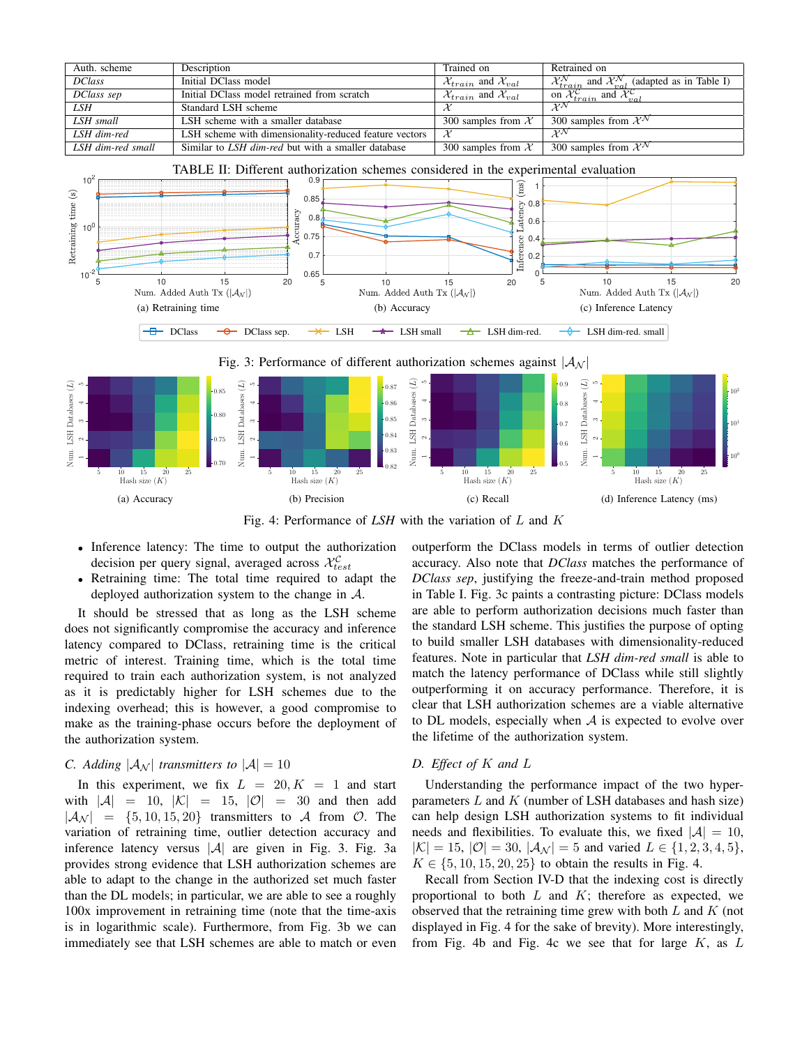| Auth. scheme      | Description                                               | Trained on                                    | Retrained on                                                                                      |
|-------------------|-----------------------------------------------------------|-----------------------------------------------|---------------------------------------------------------------------------------------------------|
| <b>DClass</b>     | Initial DClass model                                      | $\mathcal{X}_{train}$ and $\mathcal{X}_{val}$ | $\mathcal{X}_{train}^{\mathcal{N}}$ and $\mathcal{X}_{val}^{\mathcal{N}}$ (adapted as in Table I) |
| DClass sep        | Initial DClass model retrained from scratch               | $\mathcal{X}_{train}$ and $\mathcal{X}_{val}$ | on $\mathcal{X}_{train}^{\mathcal{C}}$ and $\mathcal{X}_{val}^{\mathcal{C}}$                      |
| LSH.              | Standard LSH scheme                                       |                                               | $\mathcal{X}^{\mathcal{N}}$                                                                       |
| LSH small         | LSH scheme with a smaller database                        | 300 samples from $X$                          | 300 samples from $\mathcal{X}^{\mathcal{N}}$                                                      |
| LSH dim-red       | LSH scheme with dimensionality-reduced feature vectors    | X                                             | $\mathcal{X}^{\mathcal{N}}$                                                                       |
| LSH dim-red small | Similar to <i>LSH dim-red</i> but with a smaller database | 300 samples from $X$                          | 300 samples from $\mathcal{X}^{\mathcal{N}}$                                                      |



Fig. 4: Performance of *LSH* with the variation of L and K

0.82 0.83

Vum.

5 10 15 20 25 Hash size (K)

(b) Precision

• Inference latency: The time to output the authorization decision per query signal, averaged across  $\mathcal{X}_{test}^{\mathcal{C}}$ 

0.70

Vum.

• Retraining time: The total time required to adapt the deployed authorization system to the change in  $A$ .

It should be stressed that as long as the LSH scheme does not significantly compromise the accuracy and inference latency compared to DClass, retraining time is the critical metric of interest. Training time, which is the total time required to train each authorization system, is not analyzed as it is predictably higher for LSH schemes due to the indexing overhead; this is however, a good compromise to make as the training-phase occurs before the deployment of the authorization system.

# *C.* Adding  $|\mathcal{A}_N|$  transmitters to  $|\mathcal{A}| = 10$

5 10 15 20 25 Hash size (K)

Vum.

(a) Accuracy

In this experiment, we fix  $L = 20, K = 1$  and start with  $|\mathcal{A}| = 10$ ,  $|\mathcal{K}| = 15$ ,  $|\mathcal{O}| = 30$  and then add  $|\mathcal{A}_{\mathcal{N}}| = \{5, 10, 15, 20\}$  transmitters to A from O. The variation of retraining time, outlier detection accuracy and inference latency versus  $|\mathcal{A}|$  are given in Fig. 3. Fig. 3a provides strong evidence that LSH authorization schemes are able to adapt to the change in the authorized set much faster than the DL models; in particular, we are able to see a roughly 100x improvement in retraining time (note that the time-axis is in logarithmic scale). Furthermore, from Fig. 3b we can immediately see that LSH schemes are able to match or even outperform the DClass models in terms of outlier detection accuracy. Also note that *DClass* matches the performance of *DClass sep*, justifying the freeze-and-train method proposed in Table I. Fig. 3c paints a contrasting picture: DClass models are able to perform authorization decisions much faster than the standard LSH scheme. This justifies the purpose of opting to build smaller LSH databases with dimensionality-reduced features. Note in particular that *LSH dim-red small* is able to match the latency performance of DClass while still slightly outperforming it on accuracy performance. Therefore, it is clear that LSH authorization schemes are a viable alternative to DL models, especially when  $A$  is expected to evolve over the lifetime of the authorization system.

0.5

Vum.

5 10 15 20 25 Hash size (K)

(d) Inference Latency (ms)

 $10^0$ 

# *D. Effect of* K *and* L

5 10 15 20 25 Hash size (K)

(c) Recall

Understanding the performance impact of the two hyperparameters  $L$  and  $K$  (number of LSH databases and hash size) can help design LSH authorization systems to fit individual needs and flexibilities. To evaluate this, we fixed  $|\mathcal{A}| = 10$ ,  $|K| = 15$ ,  $|O| = 30$ ,  $|A_{N}| = 5$  and varied  $L \in \{1, 2, 3, 4, 5\}$ ,  $K \in \{5, 10, 15, 20, 25\}$  to obtain the results in Fig. 4.

Recall from Section IV-D that the indexing cost is directly proportional to both  $L$  and  $K$ ; therefore as expected, we observed that the retraining time grew with both  $L$  and  $K$  (not displayed in Fig. 4 for the sake of brevity). More interestingly, from Fig. 4b and Fig. 4c we see that for large  $K$ , as  $L$